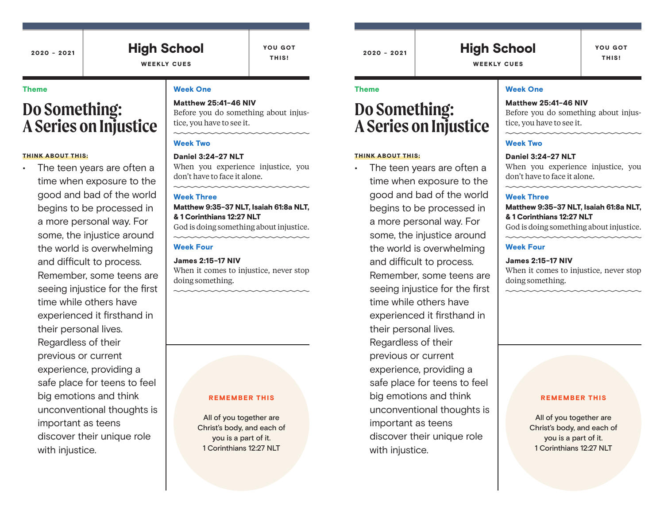# High School

YOU GOT THIS!

## WEEKLY CUES

#### Theme

# **Do Something: A Series on Injustice**

#### THINK ABOUT THIS:

The teen years are often a time when exposure to the good and bad of the world begins to be processed in a more personal way. For some, the injustice around the world is overwhelming and difficult to process. Remember, some teens are seeing injustice for the first time while others have experienced it firsthand in their personal lives. Regardless of their previous or current experience, providing a safe place for teens to feel big emotions and think unconventional thoughts is important as teens discover their unique role with injustice.

#### Week One

# Matthew 25:41-46 NIV

Before you do something about injustice, you have to see it.

#### Week Two

Daniel 3:24-27 NLT When you experience injustice, you don't have to face it alone.

#### Week Three

Matthew 9:35-37 NLT, Isaiah 61:8a NLT, & 1 Corinthians 12:27 NLT God is doing something about injustice.

#### Week Four

James 2:15-17 NIV When it comes to injustice, never stop doing something.

#### REMEMBER THIS

All of you together are Christ's body, and each of you is a part of it. 1 Corinthians 12:27 NLT